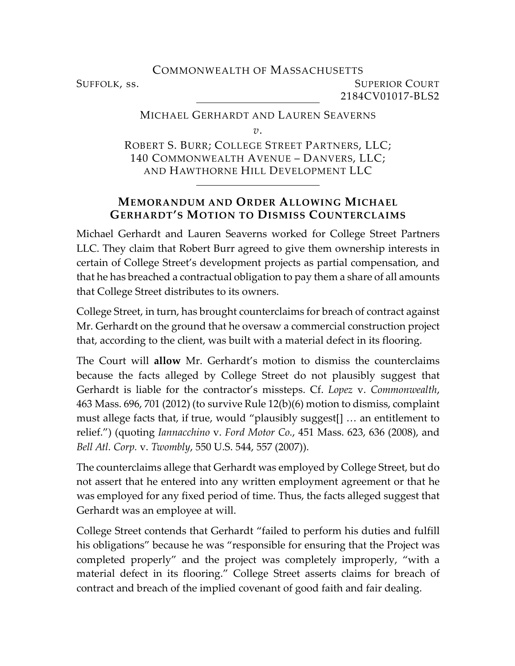COMMONWEALTH OF MASSACHUSETTS SUFFOLK, ss. SUPERIOR COURT 2184CV01017-BLS2

## MICHAEL GERHARDT AND LAUREN SEAVERNS *v*.

ROBERT S. BURR; COLLEGE STREET PARTNERS, LLC; 140 COMMONWEALTH AVENUE – DANVERS, LLC; AND HAWTHORNE HILL DEVELOPMENT LLC

## **MEMORANDUM AND ORDER ALLOWING MICHAEL GERHARDT'S MOTION TO DISMISS COUNTERCLAIMS**

Michael Gerhardt and Lauren Seaverns worked for College Street Partners LLC. They claim that Robert Burr agreed to give them ownership interests in certain of College Street's development projects as partial compensation, and that he has breached a contractual obligation to pay them a share of all amounts that College Street distributes to its owners.

College Street, in turn, has brought counterclaims for breach of contract against Mr. Gerhardt on the ground that he oversaw a commercial construction project that, according to the client, was built with a material defect in its flooring.

The Court will **allow** Mr. Gerhardt's motion to dismiss the counterclaims because the facts alleged by College Street do not plausibly suggest that Gerhardt is liable for the contractor's missteps. Cf. *Lopez* v. *Commonwealth*, 463 Mass. 696, 701 (2012) (to survive Rule 12(b)(6) motion to dismiss, complaint must allege facts that, if true, would "plausibly suggest[] … an entitlement to relief.") (quoting *Iannacchino* v. *Ford Motor Co.*, 451 Mass. 623, 636 (2008), and *Bell Atl. Corp.* v. *Twombly*, 550 U.S. 544, 557 (2007)).

The counterclaims allege that Gerhardt was employed by College Street, but do not assert that he entered into any written employment agreement or that he was employed for any fixed period of time. Thus, the facts alleged suggest that Gerhardt was an employee at will.

College Street contends that Gerhardt "failed to perform his duties and fulfill his obligations" because he was "responsible for ensuring that the Project was completed properly" and the project was completely improperly, "with a material defect in its flooring." College Street asserts claims for breach of contract and breach of the implied covenant of good faith and fair dealing.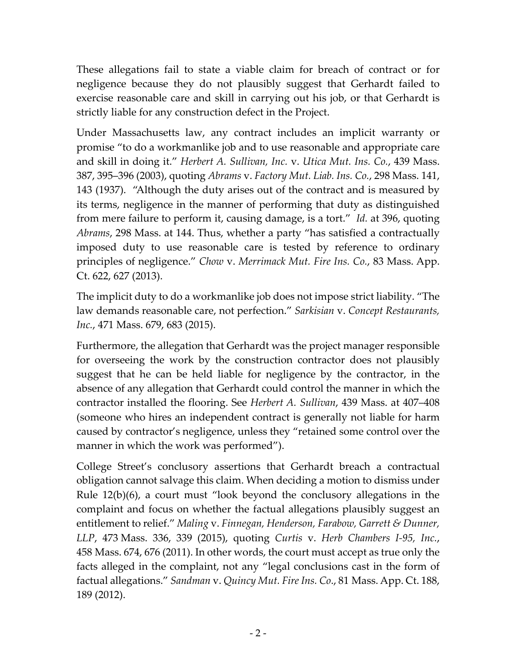These allegations fail to state a viable claim for breach of contract or for negligence because they do not plausibly suggest that Gerhardt failed to exercise reasonable care and skill in carrying out his job, or that Gerhardt is strictly liable for any construction defect in the Project.

Under Massachusetts law, any contract includes an implicit warranty or promise "to do a workmanlike job and to use reasonable and appropriate care and skill in doing it." *Herbert A. Sullivan, Inc.* v. *Utica Mut. Ins. Co.*, 439 Mass. 387, 395–396 (2003), quoting *Abrams* v. *Factory Mut. Liab. Ins. Co.*, 298 Mass. 141, 143 (1937). "Although the duty arises out of the contract and is measured by its terms, negligence in the manner of performing that duty as distinguished from mere failure to perform it, causing damage, is a tort." *Id.* at 396, quoting *Abrams*, 298 Mass. at 144. Thus, whether a party "has satisfied a contractually imposed duty to use reasonable care is tested by reference to ordinary principles of negligence." *Chow* v. *Merrimack Mut. Fire Ins. Co.*, 83 Mass. App. Ct. 622, 627 (2013).

The implicit duty to do a workmanlike job does not impose strict liability. "The law demands reasonable care, not perfection." *Sarkisian* v. *Concept Restaurants, Inc.*, 471 Mass. 679, 683 (2015).

Furthermore, the allegation that Gerhardt was the project manager responsible for overseeing the work by the construction contractor does not plausibly suggest that he can be held liable for negligence by the contractor, in the absence of any allegation that Gerhardt could control the manner in which the contractor installed the flooring. See *Herbert A. Sullivan*, 439 Mass. at 407–408 (someone who hires an independent contract is generally not liable for harm caused by contractor's negligence, unless they "retained some control over the manner in which the work was performed").

College Street's conclusory assertions that Gerhardt breach a contractual obligation cannot salvage this claim. When deciding a motion to dismiss under Rule 12(b)(6), a court must "look beyond the conclusory allegations in the complaint and focus on whether the factual allegations plausibly suggest an entitlement to relief." *Maling* v. *Finnegan, Henderson, Farabow, Garrett & Dunner, LLP*, 473 Mass. 336, 339 (2015), quoting *Curtis* v. *Herb Chambers I-95, Inc.*, 458 Mass. 674, 676 (2011). In other words, the court must accept as true only the facts alleged in the complaint, not any "legal conclusions cast in the form of factual allegations." *Sandman* v. *Quincy Mut. Fire Ins. Co*., 81 Mass. App. Ct. 188, 189 (2012).